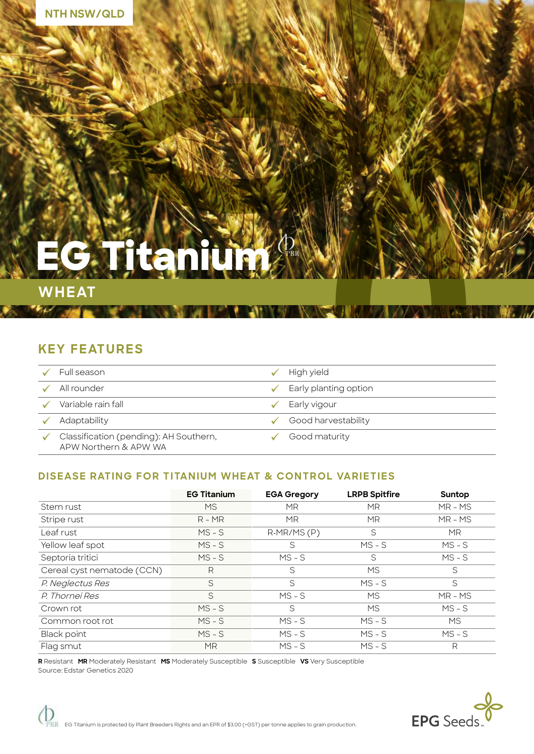# **EG Titanium**

## **WHEAT**

رع

## **KEY FEATURES**

| Full season                                                     | High yield                         |
|-----------------------------------------------------------------|------------------------------------|
| All rounder                                                     | $\checkmark$ Early planting option |
| Variable rain fall                                              | Early vigour                       |
| Adaptability                                                    | Good harvestability                |
| Classification (pending): AH Southern,<br>APW Northern & APW WA | Good maturity                      |

۵V

NGLAN NGCHI KALE

### **DISEASE RATING FOR TITANIUM WHEAT & CONTROL VARIETIES**

|                            | <b>EG Titanium</b> | <b>EGA Gregory</b> | <b>LRPB Spitfire</b> | Suntop    |
|----------------------------|--------------------|--------------------|----------------------|-----------|
| Stem rust                  | MS.                | <b>MR</b>          | <b>MR</b>            | $MR - MS$ |
| Stripe rust                | $R - MR$           | <b>MR</b>          | <b>MR</b>            | $MR - MS$ |
| Leaf rust                  | $MS - S$           | $R-MR/MS(P)$       | S                    | <b>MR</b> |
| Yellow leaf spot           | $MS - S$           | S                  | $MS - S$             | $MS - S$  |
| Septoria tritici           | $MS-S$             | $MS - S$           | S                    | $MS - S$  |
| Cereal cyst nematode (CCN) | R                  | S                  | MS.                  | S         |
| P. Neglectus Res           | S                  | S                  | $MS - S$             | S         |
| P. Thornei Res             | S                  | $MS - S$           | <b>MS</b>            | $MR - MS$ |
| Crown rot                  | $MS - S$           | S                  | <b>MS</b>            | $MS - S$  |
| Common root rot            | $MS - S$           | $MS - S$           | $MS - S$             | <b>MS</b> |
| <b>Black point</b>         | $MS - S$           | $MS - S$           | $MS - S$             | $MS - S$  |
| Flag smut                  | <b>MR</b>          | $MS - S$           | $MS - S$             | R         |

**R** Resistant **MR** Moderately Resistant **MS** Moderately Susceptible **S** Susceptible **VS** Very Susceptible Source: Edstar Genetics 2020